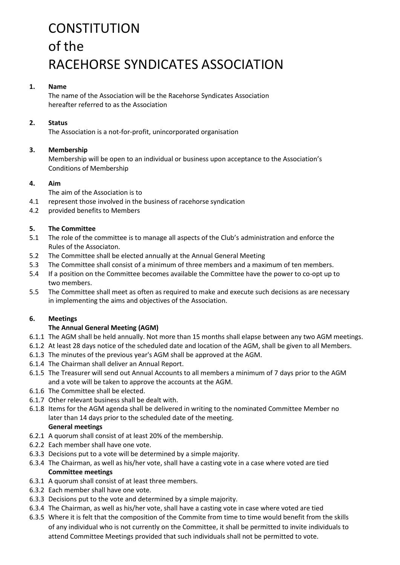# **CONSTITUTION** of the RACEHORSE SYNDICATES ASSOCIATION

#### **1. Name**

The name of the Association will be the Racehorse Syndicates Association hereafter referred to as the Association

## **2. Status**

The Association is a not-for-profit, unincorporated organisation

## **3. Membership**

Membership will be open to an individual or business upon acceptance to the Association's Conditions of Membership

## **4. Aim**

The aim of the Association is to

- 4.1 represent those involved in the business of racehorse syndication
- 4.2 provided benefits to Members

## **5. The Committee**

- 5.1 The role of the committee is to manage all aspects of the Club's administration and enforce the Rules of the Associaton.
- 5.2 The Committee shall be elected annually at the Annual General Meeting
- 5.3 The Committee shall consist of a minimum of three members and a maximum of ten members.
- 5.4 If a position on the Committee becomes available the Committee have the power to co-opt up to two members.
- 5.5 The Committee shall meet as often as required to make and execute such decisions as are necessary in implementing the aims and objectives of the Association.

## **6. Meetings**

## **The Annual General Meeting (AGM)**

- 6.1.1 The AGM shall be held annually. Not more than 15 months shall elapse between any two AGM meetings.
- 6.1.2 At least 28 days notice of the scheduled date and location of the AGM, shall be given to all Members.
- 6.1.3 The minutes of the previous year's AGM shall be approved at the AGM.
- 6.1.4 The Chairman shall deliver an Annual Report.
- 6.1.5 The Treasurer will send out Annual Accounts to all members a minimum of 7 days prior to the AGM and a vote will be taken to approve the accounts at the AGM.
- 6.1.6 The Committee shall be elected.
- 6.1.7 Other relevant business shall be dealt with.
- 6.1.8 Items for the AGM agenda shall be delivered in writing to the nominated Committee Member no later than 14 days prior to the scheduled date of the meeting. **General meetings**
- 6.2.1 A quorum shall consist of at least 20% of the membership.
- 6.2.2 Each member shall have one vote.
- 6.3.3 Decisions put to a vote will be determined by a simple majority.
- 6.3.4 The Chairman, as well as his/her vote, shall have a casting vote in a case where voted are tied **Committee meetings**
- 6.3.1 A quorum shall consist of at least three members.
- 6.3.2 Each member shall have one vote.
- 6.3.3 Decisions put to the vote and determined by a simple majority.
- 6.3.4 The Chairman, as well as his/her vote, shall have a casting vote in case where voted are tied
- 6.3.5 Where it is felt that the composition of the Commite from time to time would benefit from the skills of any individual who is not currently on the Committee, it shall be permitted to invite individuals to attend Committee Meetings provided that such individuals shall not be permitted to vote.